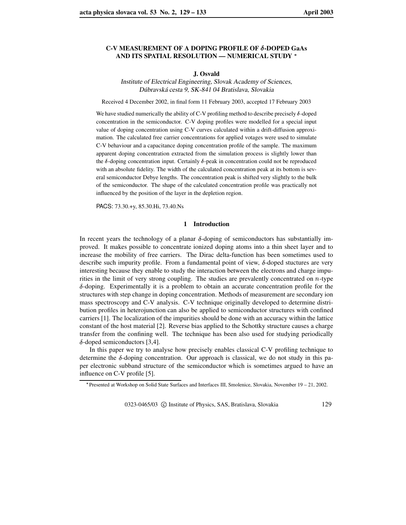## **C-V MEASUREMENT OF A DOPING PROFILE OF -DOPED GaAs AND ITS SPATIAL RESOLUTION — NUMERICAL STUDY**

# **J. Osvald**

Institute of Electrical Engineering, Slovak Academy of Sciences, Dúbravská cesta 9, SK-841 04 Bratislava, Slovakia

Received 4 December 2002, in final form 11 February 2003, accepted 17 February 2003

We have studied numerically the ability of C-V profiling method to describe precisely  $\delta$ -doped concentration in the semiconductor. C-V doping profiles were modelled for a special input value of doping concentration using C-V curves calculated within a drift-diffusion approximation. The calculated free carrier concentrations for applied votages were used to simulate C-V behaviour and a capacitance doping concentration profile of the sample. The maximum apparent doping concentration extracted from the simulation process is slightly lower than the  $\delta$ -doping concentration input. Certainly  $\delta$ -peak in concentration could not be reproduced with an absolute fidelity. The width of the calculated concentration peak at its bottom is several semiconductor Debye lengths. The concentration peak is shifted very slightly to the bulk of the semiconductor. The shape of the calculated concentration profile was practically not influenced by the position of the layer in the depletion region.

PACS: 73.30.+y, 85.30.Hi, 73.40.Ns

## **1 Introduction**

In recent years the technology of a planar  $\delta$ -doping of semiconductors has substantially improved. It makes possible to concentrate ionized doping atoms into a thin sheet layer and to increase the mobility of free carriers. The Dirac delta-function has been sometimes used to describe such impurity profile. From a fundamental point of view,  $\delta$ -doped stuctures are very interesting because they enable to study the interaction between the electrons and charge impurities in the limit of very strong coupling. The studies are prevalently concentrated on  $n$ -type  $\delta$ -doping. Experimentally it is a problem to obtain an accurate concentration profile for the structures with step change in doping concentration. Methods of measurement are secondary ion mass spectroscopy and C-V analysis. C-V technique originally developed to determine distribution profiles in heterojunction can also be applied to semiconductor structures with confined carriers [1]. The localization of the impurities should be done with an accuracy within the lattice constant of the host material [2]. Reverse bias applied to the Schottky structure causes a charge transfer from the confining well. The technique has been also used for studying periodically  $\delta$ -doped semiconductors [3,4].

In this paper we try to analyse how precisely enables classical C-V profiling technique to determine the  $\delta$ -doping concentration. Our approach is classical, we do not study in this paper electronic subband structure of the semiconductor which is sometimes argued to have an influence on C-V profile [5].

0323-0465/03 © Institute of Physics, SAS, Bratislava, Slovakia 129

Presented at Workshop on Solid State Surfaces and Interfaces III, Smolenice, Slovakia, November 19 – 21, 2002.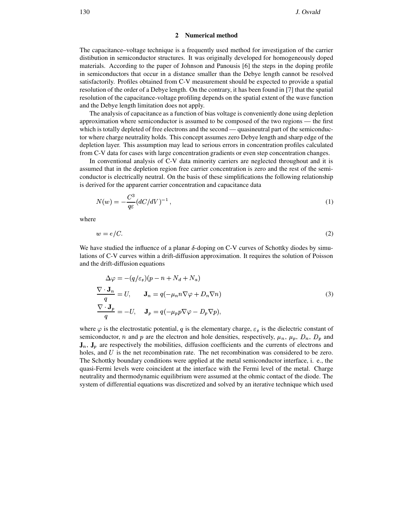#### **2 Numerical method**

The capacitance–voltage technique is a frequently used method for investigation of the carrier distibution in semiconductor structures. It was originally developed for homogeneously doped materials. According to the paper of Johnson and Panousis [6] the steps in the doping profile in semiconductors that occur in a distance smaller than the Debye length cannot be resolved satisfactorily. Profiles obtained from C-V measurement should be expected to provide a spatial resolution of the order of a Debye length. On the contrary, it has been found in [7] that the spatial resolution of the capacitance-voltage profiling depends on the spatial extent of the wave function and the Debye length limitation does not apply.

The analysis of capacitance as a function of bias voltage is conveniently done using depletion approximation where semiconductor is assumed to be composed of the two regions — the first which is totally depleted of free electrons and the second — quasineutral part of the semiconductor where charge neutrality holds. This concept assumes zero Debye length and sharp edge of the depletion layer. This assumption may lead to serious errors in concentration profiles calculated from C-V data for cases with large concentration gradients or even step concentration changes.

In conventional analysis of C-V data minority carriers are neglected throughout and it is assumed that in the depletion region free carrier concentration is zero and the rest of the semiconductor is electrically neutral. On the basis of these simplifications the following relationship is derived for the apparent carrier concentration and capacitance data

$$
N(w) = -\frac{C^3}{q\varepsilon} (dC/dV)^{-1},\tag{1}
$$

where

$$
w = e/C.\tag{2}
$$

We have studied the influence of a planar  $\delta$ -doping on C-V curves of Schottky diodes by simulations of C-V curves within a drift-diffusion approximation. It requires the solution of Poisson and the drift-diffusion equations

$$
\Delta \varphi = -(q/\varepsilon_s)(p - n + N_d + N_a)
$$
  
\n
$$
\frac{\nabla \cdot \mathbf{J}_n}{q} = U, \qquad \mathbf{J}_n = q(-\mu_n n \nabla \varphi + D_n \nabla n)
$$
  
\n
$$
\frac{\nabla \cdot \mathbf{J}_p}{q} = -U, \qquad \mathbf{J}_p = q(-\mu_p p \nabla \varphi - D_p \nabla p),
$$
\n(3)

where  $\varphi$  is the electrostatic potential, q is the elementary charge,  $\varepsilon_s$  is the dielectric constant of semiconductor, n and p are the electron and hole densities, respectively,  $\mu_n$ ,  $\mu_p$ ,  $D_n$ ,  $D_p$  and  $\mathbf{J}_n$ ,  $\mathbf{J}_p$  are respectively the mobilities, diffusion coefficients and the currents of electrons and holes, and  $U$  is the net recombination rate. The net recombination was considered to be zero. The Schottky boundary conditions were applied at the metal semiconductor interface, i. e., the quasi-Fermi levels were coincident at the interface with the Fermi level of the metal. Charge neutrality and thermodynamic equilibrium were assumed at the ohmic contact of the diode. The system of differential equations was discretized and solved by an iterative technique which used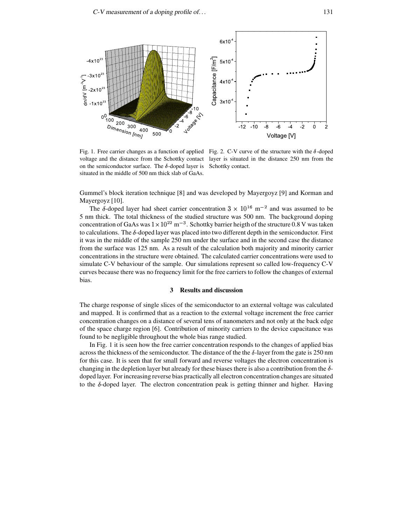

Fig. 1. Free carrier changes as a function of applied Fig. 2. C-V curve of the structure with the  $\delta$ -doped on the semiconductor surface. The  $\delta$ -doped layer is situated in the middle of 500 nm thick slab of GaAs.

voltage and the distance from the Schottky contact layer is situated in the distance 250 nm from the Schottky contact.

Gummel's block iteration technique [8] and was developed by Mayergoyz [9] and Korman and Mayergoyz [10].

The  $\delta$ -doped layer had sheet carrier concentration  $3 \times 10^{16}$  m<sup>-2</sup> and was assumed to be 5 nm thick. The total thickness of the studied structure was 500 nm. The background doping concentration of GaAs was  $1 \times 10^{22}$  m<sup>-3</sup>. Schottky barrier heigth of the structure 0.8 V was taken to calculations. The  $\delta$ -doped layer was placed into two different depth in the semiconductor. First it was in the middle of the sample 250 nm under the surface and in the second case the distance from the surface was 125 nm. As a result of the calculation both majority and minority carrier concentrations in the structure were obtained. The calculated carrier concentrations were used to simulate C-V behaviour of the sample. Our simulations represent so called low-frequency C-V curves because there was no frequency limit for the free carriers to follow the changes of external bias.

# **3 Results and discussion**

The charge response of single slices of the semiconductor to an external voltage was calculated and mapped. It is confirmed that as a reaction to the external voltage increment the free carrier concentration changes on a distance of several tens of nanometers and not only at the back edge of the space charge region [6]. Contribution of minority carriers to the device capacitance was found to be negligible throughout the whole bias range studied.

In Fig. 1 it is seen how the free carrier concentration responds to the changes of applied bias across the thickness of the semiconductor. The distance of the the  $\delta$ -layer from the gate is 250 nm for this case. It is seen that for small forward and reverse voltages the electron concentration is changing in the depletion layer but already for these biases there is also a contribution from the  $\delta$ doped layer. For increasing reverse bias practically all electron concentration changes are situated to the  $\delta$ -doped layer. The electron concentration peak is getting thinner and higher. Having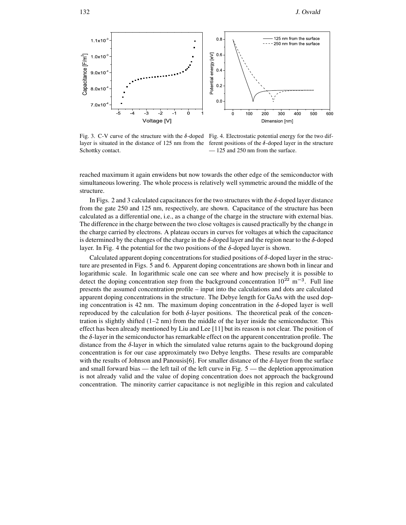

Fig. 3. C-V curve of the structure with the  $\delta$ -doped Fig. 4. Electrostatic potential energy for the two diflayer is situated in the distance of 125 nm from the Schottky contact.

ferent positions of the  $\delta$ -doped layer in the structure — 125 and 250 nm from the surface.

reached maximum it again enwidens but now towards the other edge of the semiconductor with simultaneous lowering. The whole process is relatively well symmetric around the middle of the structure.

In Figs. 2 and 3 calculated capacitances for the two structures with the  $\delta$ -doped layer distance from the gate 250 and 125 nm, respectively, are shown. Capacitance of the structure has been calculated as a differential one, i.e., as a change of the charge in the structure with external bias. The difference in the charge between the two close voltages is caused practically by the change in the charge carried by electrons. A plateau occurs in curves for voltages at which the capacitance is determined by the changes of the charge in the  $\delta$ -doped layer and the region near to the  $\delta$ -doped layer. In Fig. 4 the potential for the two positions of the  $\delta$ -doped layer is shown.

Calculated apparent doping concentrations for studied positions of  $\delta$ -doped layer in the structure are presented in Figs. 5 and 6. Apparent doping concentrations are shown both in linear and logarithmic scale. In logarithmic scale one can see where and how precisely it is possible to detect the doping concentration step from the background concentration  $10^{22}$  m<sup>-3</sup>. Full line presents the assumed concentration profile – input into the calculations and dots are calculated apparent doping concentrations in the structure. The Debye length for GaAs with the used doping concentration is 42 nm. The maximum doping concentration in the  $\delta$ -doped layer is well reproduced by the calculation for both  $\delta$ -layer positions. The theoretical peak of the concentration is slightly shifted  $(1-2 \text{ nm})$  from the middle of the layer inside the semiconductor. This effect has been already mentioned by Liu and Lee [11] but its reason is not clear. The position of the  $\delta$ -layer in the semiconductor has remarkable effect on the apparent concentration profile. The distance from the  $\delta$ -layer in which the simulated value returns again to the background doping concentration is for our case approximately two Debye lengths. These results are comparable with the results of Johnson and Panousis[6]. For smaller distance of the  $\delta$ -layer from the surface and small forward bias — the left tail of the left curve in Fig. 5 — the depletion approximation is not already valid and the value of doping concentration does not approach the background concentration. The minority carrier capacitance is not negligible in this region and calculated